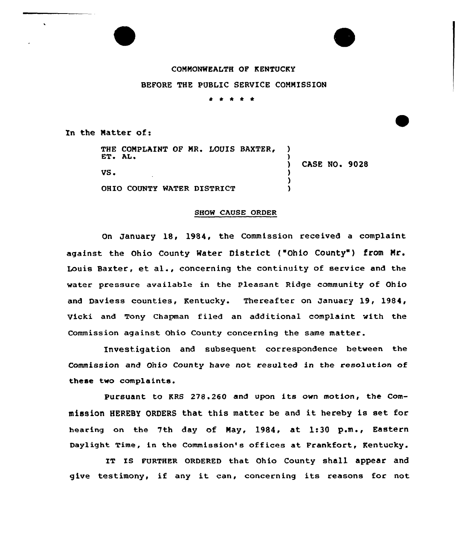# COMMONWEALTH OF KENTUCKY

BEFORE THE PUBLIC SERVICE COMMISSION

\* \* \* \* \*

In the Natter of:

| ET. AL. | THE COMPLAINT OF MR. LOUIS BAXTER, |  |  |                      |  |
|---------|------------------------------------|--|--|----------------------|--|
| VS.     |                                    |  |  | <b>CASE NO. 9028</b> |  |
|         | OHIO COUNTY WATER DISTRICT         |  |  |                      |  |

#### SHOW CAUSE ORDER

On January 18, 1984, the Commission received a complaint against the Ohio County Water District ("Ohio County") from Mr. Louis Baxter, et al., concerning the continuity of service and the water pressure available in the Pleasant Ridge community of Ohio and Daviess counties, Kentucky. Thereafter on January 19, 1984, Vicki and Tony Chapman filed an additional complaint with the Commission against Ohio County concerning the same matter.

Investigation and subsequent correspondence between the Commission and Ohio County have not resulted in the resolution of these two complaints.

Pursuant to KRS 278.260 and upon its own motion, the Commission HEREBY ORDERS that this matter be and it hereby is set for hearing on the 7th day of May, 1984, at 1;30 p.m., Eastern Daylight Time, in the Commission's offices at Frankfort, Kentucky.

IT Is FURTHER oRDERED that. ohio county shall appear and give testimony, if any it can, concerning its reasons for not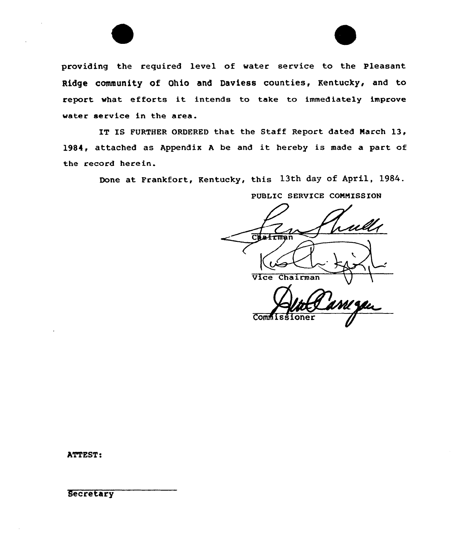

IT IS FURTHER ORDFRED that the Staff Report dated Narch 13, 1984, attached as Appendix A be and it hereby is made a part of the record herein.

Done at Frankfort, Kentucky, this 13th day of April, 1984.

Chatru Vice Chairman **Commiss** 

PUBLIC SERVICE CONNISSION

ATTEST:

**Secretary**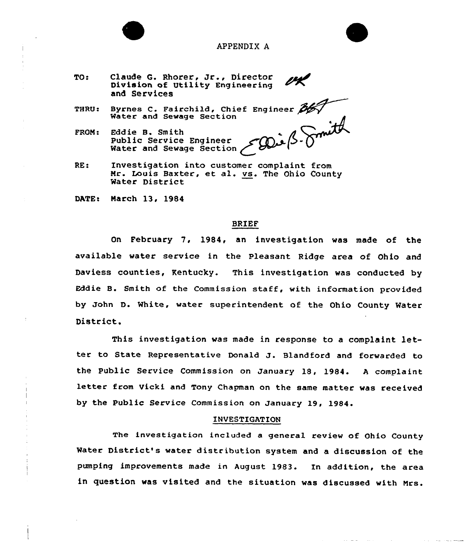

# APPENDIX A

- TQ: Claude G. Rhorer, Jr., Director Division of Utility Engineering and Services
- THRU. Byrnes C. Fairchild, Chief Enginee Water and Sewage Section
- FRQN: Edd ie B. Sm ith Public Service Engineer<br>Water and Sewage Section
- RE! Investigation into customer complaint from Nr. Louis Baxter, et al. vs. The Ohio County Water District

DATE: March 13, 1984

#### BRIEF

On February 7, 1984, an investigation was made of the available water service in the Pleasant Ridge area of Ohio and Daviess counties, Kentucky. This investigation was conducted by Eddie B. Smith of the Commission staff, with information provided by John D. White, water superintendent of the Ohio County Water District.

This investigation was made in response to <sup>a</sup> complaint letter to State Representative Donald J. Blandford and forwarded to the Public Service Commission on January 18, l984. <sup>A</sup> complaint letter from Vicki and Tony Chapman on the same matter was received by the Public Service Commission on January 19, 1984.

#### INVESTIGATION

The investigation included a general review of Ohio County Water District's water distribution system and a discussion of the pumping improvements made in August 1983. In addition, the area in question was visited and the situation was discussed with Mrs.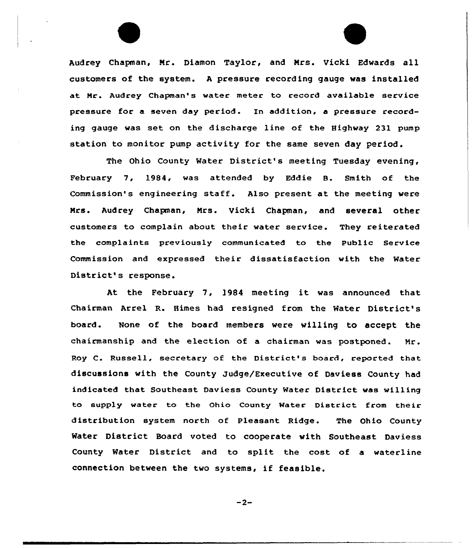Audrey Chapman, Nr. Diamon Taylor, and Nrs. Vicki Edwards all customers of the system. <sup>A</sup> pressure recording gauge was installed at Nr. Audrey Chapman's water meter to record available service pressure for a seven day period. In addition, a pressure recording gauge was set on the discharge line of the Highway 231 pump station to monitor pump activity for the same seven day period.

The Ohio County Water District's meeting Tuesday evening, February 7, 1984, was attended by Eddie B. Smith of the Commission's engineering staff. Also present at the meeting were Nrs. Audrey Chapman, Nrs. Vicki Chapman, and several other customers to complain about their water service. They reiterated the complaints previously communicated to the Public Service Commission and expressed their dissatisfaction with the Water District's response.

At the February 7, l984 meeting it was announced that Chairman Arrel R. Himes had resigned from the Mater District's board. None of the board members were willing to accept the chairmanship and the election of a chairman was postponed. Mr. Roy C. Russell, secretary of the District's board, reported that discussions with the County Judge/Executive of Daviess County had indicated that Southeast Daviess County Water District was willing to supply water to the Ohio County Water District from their distribution system north of Pleasant Ridge. The Ohio County Mater District Board voted to cooperate with Southeast Daviess County Mater District and to split the cost of a waterline connection between the two systems, if feasible.

 $-2-$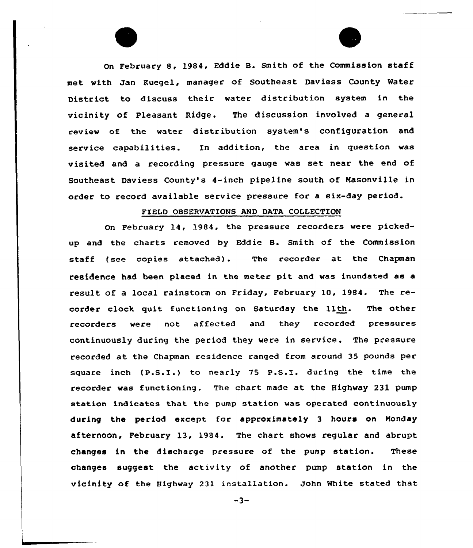On February 8, 1984, Eddie B. Smith of the Commission staff met with Jan Kuegel, manager of Southeast Daviess County Water District to discuss their water distribution system in the vicinity of Pleasant Ridge. The discussion involved a general review cf the water distribution system's configuration and service capabilities. In addition, the area in question was visited and a recording pressure gauge was set near the end of Southeast Daviess County's 4-inch pipeline south of Masonville in order to record available service pressure for a six-day period.

# FIELD OBSERVATIONS AND DATA COLLECTION

On February 14, 1984, the pressure recorders were pickedup and the charts removed by Eddie B. Smith of the Commission staff (see copies attached). The recorder at the Chapman residence had been placed in the meter pit and was inundated as a result of <sup>a</sup> local rainstorm on Friday, February 10, 1984. The recorder clock quit functioning on Saturday the 11th. The other re<mark>corders were</mark> not affected and they recorded pressure continuously during the period they were in service . The pressure recorded at the Chapman residence ranged from around 35 pounds per square inch (P.S.I.) to nearly <sup>75</sup> P.S.I. during the time the recorder was functioning. The chart made at the Highway 231 pump station indicates that the pump station was operated continuously during the period except for approximately 3 hours on Monday afternoon, February 13, 1984. The chart shows regular and abrupt changes in the discharge pressure of the pump station. These changes suggest the activity of another pump station in the vicinity of the Highway 231 installation. John White stated that

 $-3-$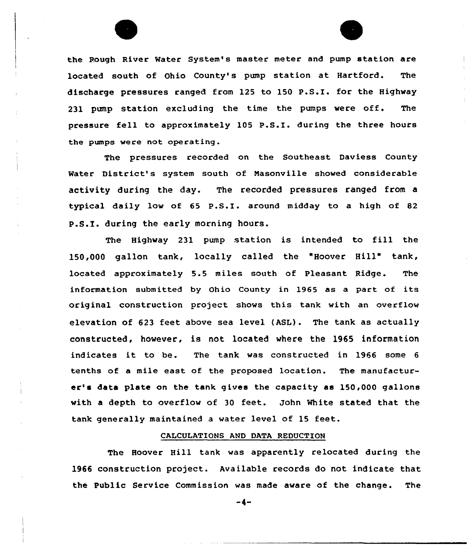the Rough River Water System's master meter and pump station are located south of Ohio County's pump station at Hartford. The discharge pressures ranged from 125 to 150 P.S.I<sup>~</sup> for the Highway 231 pump station excluding the time the pumps were off. The pressure fell to approximately <sup>105</sup> P.S.I. during the three hours the pumps were not operating.

The pressures recorded on the Southeast Daviess County Water District's system south of Nasonville showed considerable activity during the day. The recorded pressures ranged from a typical daily low of <sup>65</sup> P.S.I. around midday to <sup>a</sup> high of <sup>82</sup> P.S.I. during the early morning hours.

The Highway <sup>231</sup> pump station is intended to fill the 15Q,QQQ gallon tank, locally called the "Hoover Hill" tank, located approximately 5.5 miles south of Pleasant Ridge. The information submitted by Ohio County in 1965 as a part of its original construction project shows this tank with an overflow elevation of 623 feet above sea level (ASL). The tank as actually constructed, however, is not located where the 1965 information indicates it to be. The tank was constructed in <sup>1966</sup> some <sup>6</sup> tenths of a mile east of the proposed location. The manufacturer's data plate on the tank gives the capacity as 150,000 gallons with a depth to overflow of 30 feet. John White stated that the tank generally maintained <sup>a</sup> water level of 15 feet.

# CALCULATIONS AND DATA REDUCTION

The Hoover Hill tank was apparently relocated during the 1966 construction project. Available records do not indicate that the Public Service Commission was made aware of the change. The

 $-4-$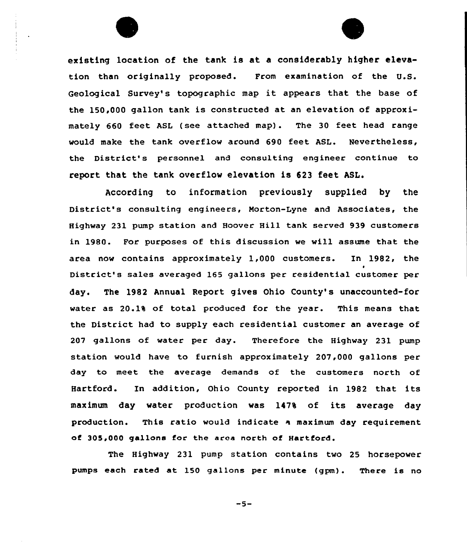

existing location of the tank is at. a considerably higher elevation than originally proposed. From examination of the U.S. Geological Survey's topographic map it appears that the base of the 150,000 gallon tank is constructed at an elevation of approximately 660 feet ASL (see attached map). The 30 feet head range would make the tank overflow around 690 feet ASL. Nevertheless, the District's personnel and consulting engineer continue to report that the tank overflow elevation is 623 feet ASL.

According to information previously supplied by the District's consulting engineers, Morton-Lyne and Associates, the Highway 231 pump station and Hoover Hill tank served 939 customers in 1980. For purposes of this discussion we will assume that the area now contains approximately 1,000 customers. In 1982, the District's sales averaged 165 gallons per residential customer per day. The 1982 Annual Report gives Ohio County's unaccounted-for water as 20.1% of total produced for the year. This means that the District had to supply each residential customer an average of 207 gallons of water per day. Therefore the Highway 231 pump station would have to furnish approximately 207,000 gallons per day to meet the average demands of the customers north of Hartford. In addition, Ohio County reported in 1982 that its maximum day water production was 147% of its average day production. This ratio would indicate a maximum day requirement of 305,000 gallons for the area north of Hartford.

The Highway 231 pump station contains two 25 horsepower pumps each rated at 150 gallons per minute (gpm}. There is no

 $-5-$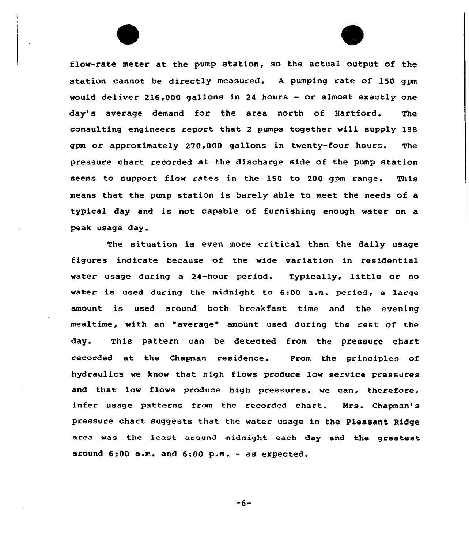flow-rate meter at the pump station, so the actual output of the station cannot be directly measured. A pumping rate of 150 gpm would deliver 216,000 gallons in 24 hours — or almost exactly one day's average demand for the area north of Hartford. The consulting engineers report that <sup>2</sup> pumps together will supply 188 gpm or approximately 270,000 gallons in twenty-four hours. The pressure chart recorded at the discharge side of the pump station seems to support flow rates in the 150 to 200 gpm range. This means that the pump station is barely able to meet the needs of a typical day and is not capable of furnishing enough water on a peak usage day.

The situation is even more critical than the daily usage figures indicate because of the wide variation in residential water usage during a 24-hour period. Typically, little or no water is used during the midnight to 6:00 a.m. period, a large amount is used around both breakfast time and the evening mealtime, with an "average" amount used during the rest of the day. This pattern can be detected from the pressure chart recorded at the Chapman residence. From the principles of hydraulics we know that high flows produce low service pressures and that low flows produce high pressures, we can, therefore, infer usage patterns from the recorded chart. Nrs. Chapman's pressure chart suggests that the water usage in the Pleasant Ridge area was the least around midnight each day and the greatest around 6:00 a.m. and 6:00 p.m. — as expected.

 $-6-$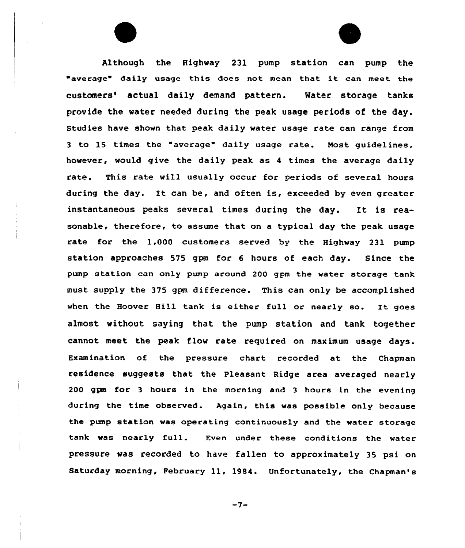Al though the Highway 231 pump station can pump the "average" daily usage this does not mean that it can meet the customers' actual daily demand pattern. Water storage tanks provide the water needed during the peak usage periods of the day. Studies have shown that peak daily water usage rate can range from <sup>3</sup> to 15 times the "average" daily usage rate. Most guidelines, however, would give the daily peak as <sup>4</sup> times the average daily rate. This rate will usually occur for periods of several hours during the day. It can be, and often is, exceeded by even greater instantaneous peaks several times during the day. It is reasonable, therefore, to assume that on a typical day the peak usage rate for the 1,000 customers served by the Highway 231 pump station approaches 575 gpm for 6 hours of each day. Since the pump station can only pump around 200 gpm the water storage tank must supply the 375 gpm difference. This can only be accomplished when the Hoover Hill tank is either full or nearly so. It goes almost without saying that the pump station and tank together cannot meet the peak flow rate required on maximum usage days. Examination of the pressure chart recorded at the Chapman residence suggests that the Pleasant Ridge area averaged nearly 200 gpm for 3 hours in the morning and <sup>3</sup> hours in the evening during the time observed. Again, this was possible only because the pump station was operating continuously and the water storage tank was nearly full. Even under these conditions the water pressure was recorded to have fallen to approximately 35 psi. on Saturday morning, February ll, 1984. Unfortunately, the Chapman's

 $-7-$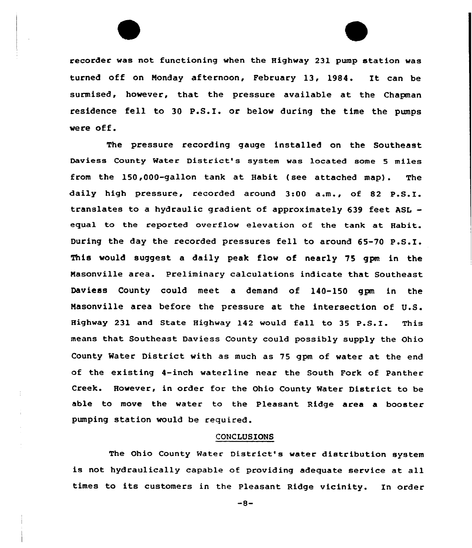recorder was not functioning when the Highvay 231 pump station was turned off on Monday afternoon, February 13, 1984. It can be surmised, however, that the pressure available at the Chapman residence fell to <sup>30</sup> P.S.I. or belov during the time the pumps vere off.

The pressure recording gauge installed on the Southeast Daviess County Mater District's system was located some <sup>5</sup> miles from the 150,000-gallon tank at Habit (see attached map). The daily high pressure, recorded around 3:00 a.m., of <sup>82</sup> P.S.I. translates to a hydraulic gradient of approximately 639 feet ASL equal to the reported overflow elevation of the tank at Habit. During the day the recorded pressures fell to around 65-70 P.S.I. This vould suggest a daily peak flov of nearly 75 gpm in the Masonville area. Preliminary calculations indicate that Southeast Daviess County could meet a demand of 140-150 gpm in the Nasonville area before the pressure at the intersection of U.S. Highway <sup>231</sup> and State Highway <sup>142</sup> would fall to <sup>35</sup> P.S.I. This means that Southeast Daviess County could possibly supply the Ohio County Water District with as much as 75 gpm of water at the end of the existing 4-inch waterline near the South Fork of Panther Creek. However, in order for the Ohio County Water District to be able to move the water to the Pleasant Ridge area a booster pumping station would be required.

#### CONCLUSIONS

The Ohio County Water District's water distribution system is not hydraulically capable of providing adequate service at all times to its customers in the Pleasant Ridge vicinity. In order

 $-8-$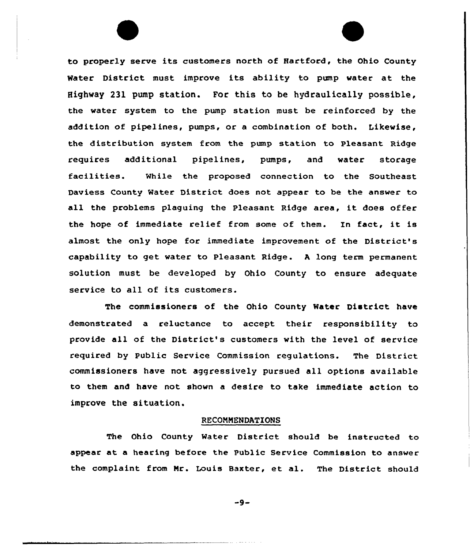to properly serve its customers north of Hartford, the Ohio County Water District must improve its ability to pump water at the Highway 231 pump station. For this to be hydraulically possible, the water system to the pump station must be reinforced by the addition of pipelines, pumps, or a combination of both. Likewise, the distribution system from the pump station to Pleasant Ridge requires additional pipelines, pumps, and water storage facilities. While the proposed connection to the Southeast Daviess County Water District does not appear to be the answer to all the problems plaguing the Pleasant Ridge area, it does offer the hope of immediate relief from some of them. In fact, it is almost the only hope for immediate improvement of the District's capability to get water to Pleasant Ridge. <sup>A</sup> long term permanent solution must be developed by Ohio County to ensure adequate service to all of its customers.

The commissioners of the Ohio County Mater District have demonstrated a reluctance to accept their responsibility to provide all of the District's customers with the level of service required by Public Service Commission regulations. The District commissioners have not aggressively pursued all options available to them and have not shown a desire to take immediate action to improve the situation.

# RECQNNENDATIONS

The Ohio County Water District should be instructed to appear at a hearing before the Public Service Commission to answer the complaint from Nr. Louis Baxter, et al. The District should

 $-9-$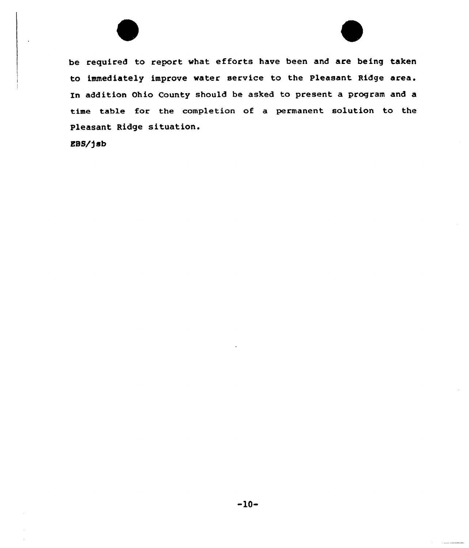be required to report what efforts have been and are being taken to immediately improve water service to the Pleasant Ridge area. zn addition Ohio County should be asked to present a program and a time table for the completion of a permanent solution to the Pleasant Ridge situation.

EBS/fsb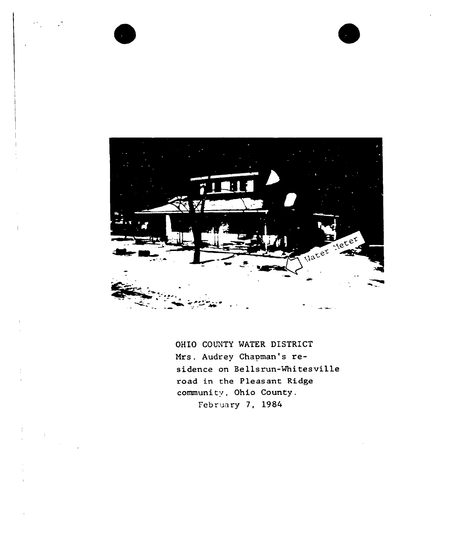

OHIO COUNTY WATER DISTRICT Mrs. Audrey Chapman's residence on Bellsrun-Whitesville road in the Pleasant Ridge community. Ohio County. February 7, 1984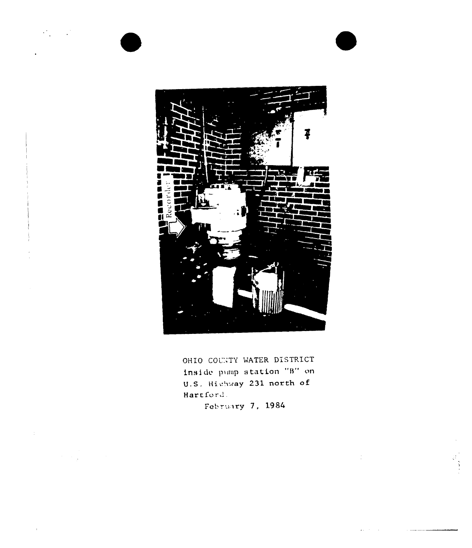

OHIO COUNTY WATER DISTRICT Inside pump station "B" on U.S. Highway 231 north of Hartford.

February 7, 1984

 $\mathcal{L}$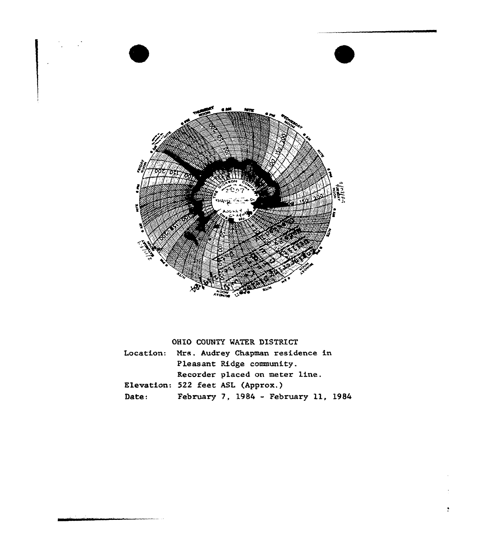

OHIO COUNTY WATER DISTRICT Location: Mrs. Audrey Chapman residence in Pleasant Ridge community. Recorder placed on meter line. Elevation: 522 feet ASL (Approx.) Date: Pebruary 7, <sup>1984</sup> - February ll, <sup>1984</sup>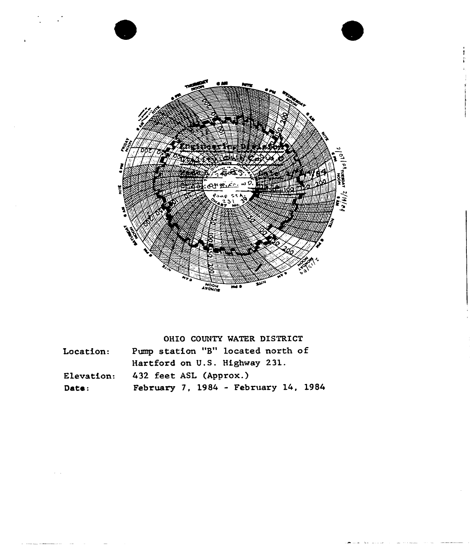

ł

|  |  |  | OHIO COUNTY WATER DISTRICT |
|--|--|--|----------------------------|
|--|--|--|----------------------------|

| Location:  | Pump station "B" located north of    |
|------------|--------------------------------------|
|            | Hartford on U.S. Highway 231.        |
| Elevation: | 432 feet ASL (Approx.)               |
| Date:      | February 7, 1984 - February 14, 1984 |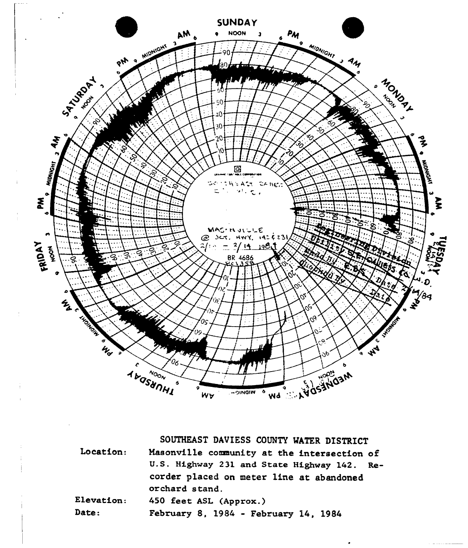

Location: Elevation: SOUTHEAST DAVIESS COUNTY WATER DISTRICT Masonville community at the intersection of U.S. Highway 231 and State Highway 142. Recorder placed on meter line at abandoned orchard stand. 450 feet ASL (Approx.)

Date: February 8, 1984 - February 14, 1984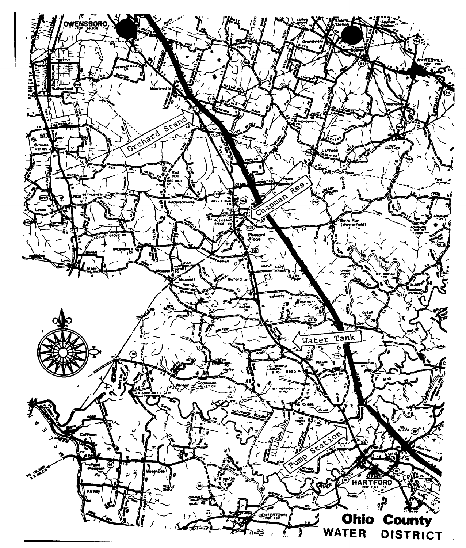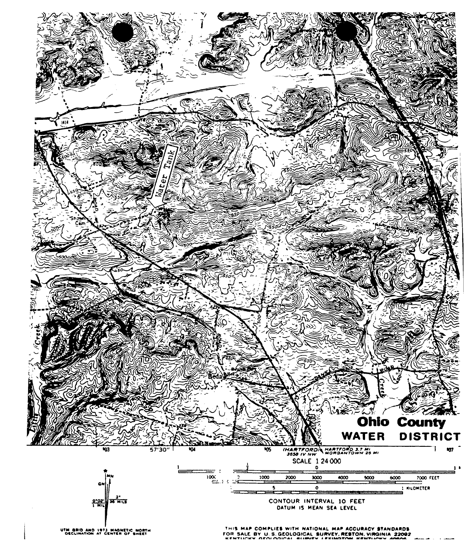